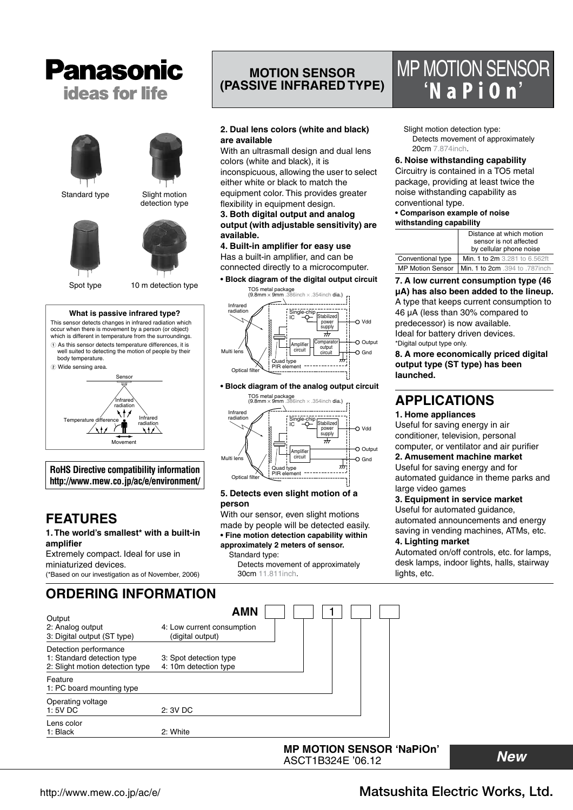# **Panasonic** ideas for life



detection type

Standard type Slight motion





Spot type 10 m detection type

#### **What is passive infrared type?**

This sensor detects changes in infrared radiation which occur when there is movement by a person (or object) which is different in temperature from the surroundings.

- Q As this sensor detects temperature differences, it is well suited to detecting the motion of people by their body temperature.
- 2 Wide sensing area.



**RoHS Directive compatibility information http://www.mew.co.jp/ac/e/environment/**

# **FEATURES**

### **1. The world's smallest\* with a built-in amplifier**

Extremely compact. Ideal for use in miniaturized devices. (\*Based on our investigation as of November, 2006)

# **MOTION SENSOR (PASSIVE INFRARED TYPE)**

## **2. Dual lens colors (white and black) are available**

With an ultrasmall design and dual lens colors (white and black), it is inconspicuous, allowing the user to select either white or black to match the equipment color. This provides greater flexibility in equipment design.

#### **3. Both digital output and analog output (with adjustable sensitivity) are available.**

**4. Built-in amplifier for easy use** Has a built-in amplifier, and can be connected directly to a microcomputer.

**• Block diagram of the digital output circuit**



**• Block diagram of the analog output circuit**



### **5. Detects even slight motion of a person**

With our sensor, even slight motions made by people will be detected easily. **• Fine motion detection capability within approximately 2 meters of sensor.**

#### Standard type:

 Detects movement of approximately 30cm 11.811inch.

# MP MOTION SENSOR  $'$ NaPiO

Slight motion detection type:

 Detects movement of approximately 20cm 7.874inch.

### **6. Noise withstanding capability**

Circuitry is contained in a TO5 metal package, providing at least twice the noise withstanding capability as conventional type.

#### **• Comparison example of noise withstanding capability**

|                         | Distance at which motion<br>sensor is not affected<br>by cellular phone noise |
|-------------------------|-------------------------------------------------------------------------------|
| Conventional type       | <b>Min. 1 to 2m</b> 3.281 to 6.562ft                                          |
| <b>MP Motion Sensor</b> | Min. 1 to 2cm .394 to .787inch                                                |

**7. A low current consumption type (46 µA) has also been added to the lineup.** A type that keeps current consumption to 46 µA (less than 30% compared to predecessor) is now available. Ideal for battery driven devices. \*Digital output type only.

**8. A more economically priced digital output type (ST type) has been launched.**

# **APPLICATIONS**

## **1. Home appliances**

Useful for saving energy in air conditioner, television, personal computer, or ventilator and air purifier **2. Amusement machine market** Useful for saving energy and for automated guidance in theme parks and

# large video games

#### **3. Equipment in service market**

Useful for automated guidance, automated announcements and energy saving in vending machines, ATMs, etc. **4. Lighting market**

Automated on/off controls, etc. for lamps, desk lamps, indoor lights, halls, stairway lights, etc.



# http://www.mew.co.jp/ac/e/ **Matsushita Electric Works, Ltd.**

**New**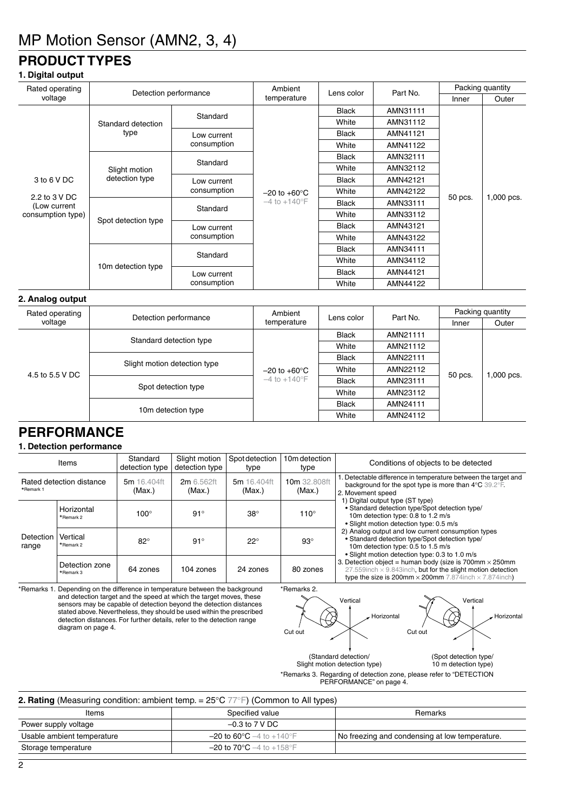# **PRODUCT TYPES**

| 1. Digital output |  |
|-------------------|--|
|-------------------|--|

| Rated operating               |                                 |             | Ambient                                                                                     | Lens color   | Part No. | Packing quantity |            |
|-------------------------------|---------------------------------|-------------|---------------------------------------------------------------------------------------------|--------------|----------|------------------|------------|
| voltage                       | Detection performance           |             | temperature                                                                                 |              |          | Inner            | Outer      |
|                               |                                 |             |                                                                                             | <b>Black</b> | AMN31111 |                  |            |
|                               | Standard detection              | Standard    |                                                                                             | White        | AMN31112 |                  |            |
|                               | type                            | Low current |                                                                                             | Black        | AMN41121 |                  |            |
|                               |                                 | consumption |                                                                                             | White        | AMN41122 |                  |            |
|                               |                                 |             |                                                                                             | <b>Black</b> | AMN32111 |                  |            |
| 3 to 6 V DC                   | Slight motion<br>detection type |             | Standard<br>Low current<br>$-20$ to $+60^{\circ}$ C<br>$-4$ to $+140^{\circ}$ F<br>Standard | White        | AMN32112 |                  |            |
|                               |                                 |             |                                                                                             | <b>Black</b> | AMN42121 |                  |            |
|                               |                                 | consumption |                                                                                             | White        | AMN42122 |                  |            |
| 2.2 to 3 V DC<br>(Low current | Spot detection type             |             |                                                                                             | <b>Black</b> | AMN33111 | 50 pcs.          | 1,000 pcs. |
| consumption type)             |                                 |             |                                                                                             | White        | AMN33112 |                  |            |
|                               |                                 | Low current |                                                                                             | <b>Black</b> | AMN43121 |                  |            |
|                               |                                 | consumption |                                                                                             | White        | AMN43122 |                  |            |
|                               |                                 | Standard    |                                                                                             | Black        | AMN34111 |                  |            |
|                               | 10m detection type              |             |                                                                                             | White        | AMN34112 |                  |            |
|                               |                                 | Low current |                                                                                             | Black        | AMN44121 |                  |            |
|                               | consumption                     |             |                                                                                             | White        | AMN44122 |                  |            |

### **2. Analog output**

| Rated operating |                              | Ambient                                              |              | Part No. | Packing quantity |           |
|-----------------|------------------------------|------------------------------------------------------|--------------|----------|------------------|-----------|
| voltage         |                              | Detection performance<br>Lens color<br>temperature   |              |          | Inner            | Outer     |
| 4.5 to 5.5 V DC | Standard detection type      |                                                      | <b>Black</b> | AMN21111 |                  |           |
|                 |                              | $-20$ to $+60^{\circ}$ C<br>$-4$ to $+140^{\circ}$ F | White        | AMN21112 | 50 pcs.          |           |
|                 | Slight motion detection type |                                                      | <b>Black</b> | AMN22111 |                  |           |
|                 |                              |                                                      | White        | AMN22112 |                  |           |
|                 | Spot detection type          |                                                      | <b>Black</b> | AMN23111 |                  | ,000 pcs. |
|                 |                              |                                                      | White        | AMN23112 |                  |           |
|                 |                              |                                                      | <b>Black</b> | AMN24111 |                  |           |
|                 | 10m detection type           |                                                      | White        | AMN24112 |                  |           |

# **PERFORMANCE**

### **1. Detection performance**

| Items                                                                 |                | Standard<br>detection type | Slight motion<br>detection type | Spotdetection<br>type | 10m detection<br>type  | Conditions of objects to be detected                                                                                                                                                                             |  |  |
|-----------------------------------------------------------------------|----------------|----------------------------|---------------------------------|-----------------------|------------------------|------------------------------------------------------------------------------------------------------------------------------------------------------------------------------------------------------------------|--|--|
| Rated detection distance<br>*Remark 1                                 |                | 5m 16.404ft<br>(Max.)      | 2m 6.562ft<br>(Max.)            | 5m 16.404ft<br>(Max.) | 10m 32.808ft<br>(Max.) | 1. Detectable difference in temperature between the target and<br>background for the spot type is more than 4°C 39.2°F.<br>2. Movement speed                                                                     |  |  |
| *Remark 2<br>Vertical<br>Detection<br>*Remark 2<br>range<br>*Remark 3 | Horizontal     | $100^\circ$                | $91^\circ$                      | $38^\circ$            | $110^\circ$            | 1) Digital output type (ST type)<br>• Standard detection type/Spot detection type/<br>10m detection type: 0.8 to 1.2 m/s<br>• Slight motion detection type: 0.5 m/s                                              |  |  |
|                                                                       |                | $82^{\circ}$               | $91^\circ$                      | $22^{\circ}$          | $93^\circ$             | 2) Analog output and low current consumption types<br>• Standard detection type/Spot detection type/<br>10m detection type: 0.5 to 1.5 m/s<br>• Slight motion detection type: 0.3 to 1.0 m/s                     |  |  |
|                                                                       | Detection zone | 64 zones                   | 104 zones                       | 24 zones              | 80 zones               | 3. Detection object = human body (size is $700$ mm $\times$ 250mm<br>27.559 inch $\times$ 9.843 inch, but for the slight motion detection<br>type the size is 200mm $\times$ 200mm 7.874inch $\times$ 7.874inch) |  |  |

\*Remarks 1. Depending on the difference in temperature between the background and detection target and the speed at which the target moves, these sensors may be capable of detection beyond the detection distances stated above. Nevertheless, they should be used within the prescribed detection distances. For further details, refer to the detection range diagram on page 4.



\*Remarks 3. Regarding of detection zone, please refer to "DETECTION PERFORMANCE" on page 4. (Standard detection/ Slight motion detection type) (Spot detection type/ 10 m detection type)

| <b>2. Rating</b> (Measuring condition: ambient temp. = $25^{\circ}C$ 77°F) (Common to All types) |                                                   |                                                |  |  |  |  |  |
|--------------------------------------------------------------------------------------------------|---------------------------------------------------|------------------------------------------------|--|--|--|--|--|
| Items                                                                                            | Specified value                                   | Remarks                                        |  |  |  |  |  |
| Power supply voltage                                                                             | $-0.3$ to $7$ V DC                                |                                                |  |  |  |  |  |
| Usable ambient temperature                                                                       | $-20$ to 60 $^{\circ}$ C $-4$ to $+140^{\circ}$ F | No freezing and condensing at low temperature. |  |  |  |  |  |
| Storage temperature                                                                              | $-20$ to 70°C $-4$ to +158°F                      |                                                |  |  |  |  |  |
|                                                                                                  |                                                   |                                                |  |  |  |  |  |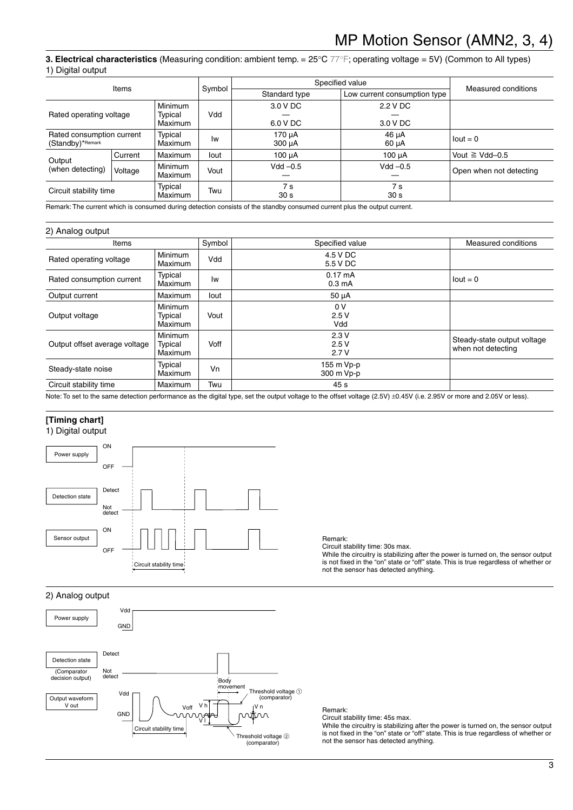### **3. Electrical characteristics** (Measuring condition: ambient temp. = 25°C 77°F; operating voltage = 5V) (Common to All types) 1) Digital output

| Items                                         |         | Symbol                    | Specified value | Measured conditions          |                       |                         |
|-----------------------------------------------|---------|---------------------------|-----------------|------------------------------|-----------------------|-------------------------|
|                                               |         |                           | Standard type   | Low current consumption type |                       |                         |
|                                               |         | <b>Minimum</b>            |                 | 3.0 V DC                     | 2.2 V DC              |                         |
| Rated operating voltage                       |         | Typical                   | Vdd             |                              |                       |                         |
|                                               |         | Maximum                   |                 | 6.0 V DC                     | 3.0 V DC              |                         |
| Rated consumption current<br>(Standby)*Remark |         | Typical<br><b>Maximum</b> | Iw              | 170 µA<br>$300 \mu A$        | 46 µA<br>60 µA        | $lout = 0$              |
|                                               | Current | Maximum                   | lout            | $100 \mu A$                  | 100 µA                | Vout $\geq$ Vdd-0.5     |
| Output<br>(when detecting)                    | Voltage | <b>Minimum</b><br>Maximum | Vout            | $Vdd - 0.5$                  | $Vdd -0.5$            | Open when not detecting |
| Circuit stability time                        |         | Typical<br>Maximum        | Twu             | 7 s<br>30 <sub>s</sub>       | 7s<br>30 <sub>s</sub> |                         |

Remark: The current which is consumed during detection consists of the standby consumed current plus the output current.

### 2) Analog output

| $=$ , , $\ldots$ and $\ldots$ at $\ldots$ |                                      |        |                                       |                                                   |
|-------------------------------------------|--------------------------------------|--------|---------------------------------------|---------------------------------------------------|
| Items                                     |                                      | Symbol | Specified value                       | Measured conditions                               |
| Rated operating voltage                   | <b>Minimum</b><br><b>Maximum</b>     | Vdd    | 4.5 V DC<br>5.5 V DC                  |                                                   |
| Rated consumption current                 | Typical<br>Maximum                   | Iw     | $0.17 \text{ mA}$<br>$0.3 \text{ mA}$ | $lout = 0$                                        |
| Output current                            | Maximum                              | lout   | $50 \mu A$                            |                                                   |
| Output voltage                            | <b>Minimum</b><br>Typical<br>Maximum | Vout   | 0V<br>2.5V<br>Vdd                     |                                                   |
| Output offset average voltage             | <b>Minimum</b><br>Typical<br>Maximum | Voff   | 2.3V<br>2.5V<br>2.7V                  | Steady-state output voltage<br>when not detecting |
| Steady-state noise                        | Typical<br><b>Maximum</b>            | Vn     | 155 m Vp-p<br>300 m Vp-p              |                                                   |
| Circuit stability time                    | Maximum                              | Twu    | 45 s                                  |                                                   |
|                                           |                                      |        |                                       |                                                   |

Note: To set to the same detection performance as the digital type, set the output voltage to the offset voltage (2.5V) ±0.45V (i.e. 2.95V or more and 2.05V or less).

# **[Timing chart]**





#### Remark: Circuit stability time: 30s max. While the circuitry is stabilizing after the power is turned on, the sensor output is not fixed in the "on" state or "off" state. This is true regardless of whether or not the sensor has detected anything.

#### 2) Analog output



## Circuit stability time: 45s max.

While the circuitry is stabilizing after the power is turned on, the sensor output is not fixed in the "on" state or "off" state. This is true regardless of whether or not the sensor has detected anything.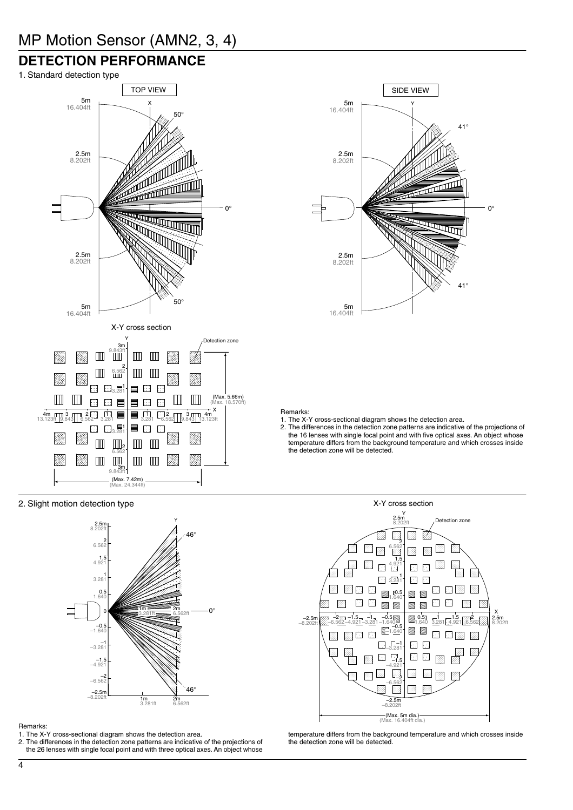# **DETECTION PERFORMANCE**

1. Standard detection type







Remarks:

1. The X-Y cross-sectional diagram shows the detection area.

2. The differences in the detection zone patterns are indicative of the projections of the 26 lenses with single focal point and with three optical axes. An object whose



Remarks:

- 1. The X-Y cross-sectional diagram shows the detection area.
- 2. The differences in the detection zone patterns are indicative of the projections of the 16 lenses with single focal point and with five optical axes. An object whose temperature differs from the background temperature and which crosses inside the detection zone will be detected.



temperature differs from the background temperature and which crosses inside the detection zone will be detected.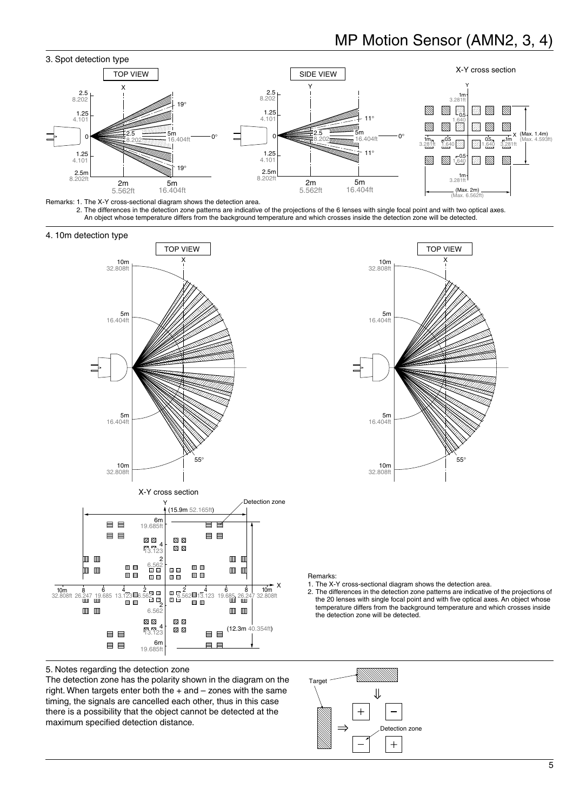

Remarks: 1. The X-Y cross-sectional diagram shows the detection area. 2. The differences in the detection zone patterns are indicative of the projections of the 6 lenses with single focal point and with two optical axes. An object whose temperature differs from the background temperature and which crosses inside the detection zone will be detected.

#### 4. 10m detection type



#### 5. Notes regarding the detection zone

The detection zone has the polarity shown in the diagram on the right. When targets enter both the  $+$  and  $-$  zones with the same timing, the signals are cancelled each other, thus in this case there is a possibility that the object cannot be detected at the maximum specified detection distance.<br>  $\begin{array}{ccc}\n\mathbb{R} & \longrightarrow & \mathbb{R} \\
\hline\n\mathbb{R} & \longrightarrow & \mathbb{R} \\
\end{array}$ 



Remarks:

- 1. The X-Y cross-sectional diagram shows the detection area.
- 2. The differences in the detection zone patterns are indicative of the projections of the 20 lenses with single focal point and with five optical axes. An object whose temperature differs from the background temperature and which crosses inside the detection zone will be detected.

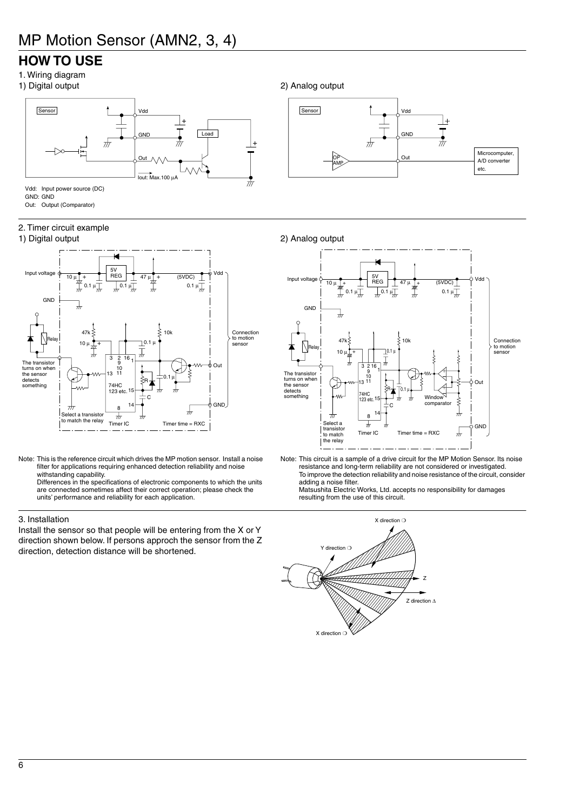# **HOW TO USE**

- 1. Wiring diagram
- 



GND: GND Out: Output (Comparator)

2. Timer circuit example

### 1) Digital output



Note: This is the reference circuit which drives the MP motion sensor. Install a noise filter for applications requiring enhanced detection reliability and noise withstanding capability.

Differences in the specifications of electronic components to which the units are connected sometimes affect their correct operation; please check the units' performance and reliability for each application.

#### 3. Installation

Install the sensor so that people will be entering from the X or Y direction shown below. If persons approch the sensor from the Z direction, detection distance will be shortened.

1) Digital output 2) Analog output



2) Analog output



Note: This circuit is a sample of a drive circuit for the MP Motion Sensor. Its noise resistance and long-term reliability are not considered or investigated. To improve the detection reliability and noise resistance of the circuit, consider adding a noise filter.

Matsushita Electric Works, Ltd. accepts no responsibility for damages resulting from the use of this circuit.

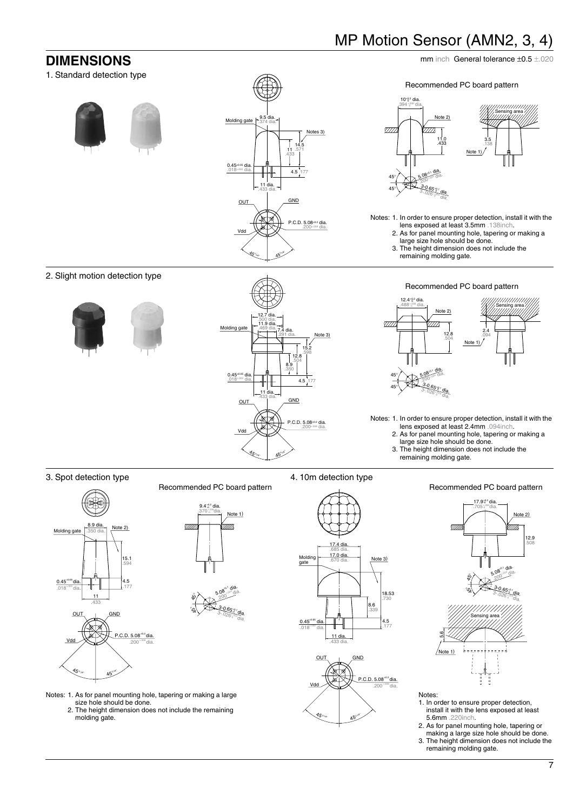# MP Motion Sensor (AMN2, 3, 4)

# **DIMENSIONS** mm inch General tolerance  $\pm 0.5 \pm .020$

1. Standard detection type







Notes: 1. In order to ensure proper detection, install it with the lens exposed at least 3.5mm .138inch.

- 2. As for panel mounting hole, tapering or making a
- large size hole should be done. 3. The height dimension does not include the
- remaining molding gate.

2. Slight motion detection type







Notes: 1. In order to ensure proper detection, install it with the lens exposed at least 2.4mm .094inch.

- 2. As for panel mounting hole, tapering or making a large size hole should be done.
- 3. The height dimension does not include the remaining molding gate.

3. Spot detection type



Recommended PC board pattern

- $9.4^{+0.2}_{-0}$  dia. -0  $.370^{+.008}_{.0}$ dia. Note 1) 45° 45° <u>3-0.65 a i</u><br>3-020 dia. <sup>±</sup>.004  $.08^{+004}$  dia. <sup>±</sup>0.1 5.08 and dia. -0 +0.1  $3 - 026 + 004$  dia. +.004
- 4. 10m detection type





Note 2) 12.9 .508 45° <sup>±</sup>.004  $.08^{+004}$  dia. <sup>±</sup>0.1 5.08 sept dia.

Recommended PC board pattern

 $.705_{0}^{+008}$ dia. +.008  $17.9^{+0.2}_{-0}$  dia.



Notes:

- 1. In order to ensure proper detection, install it with the lens exposed at least 5.6mm .220inch.
- 2. As for panel mounting hole, tapering or
- making a large size hole should be done. 3. The height dimension does not include the remaining molding gate.
- Notes: 1. As for panel mounting hole, tapering or making a large size hole should be done. 2. The height dimension does not include the remaining
	- molding gate.